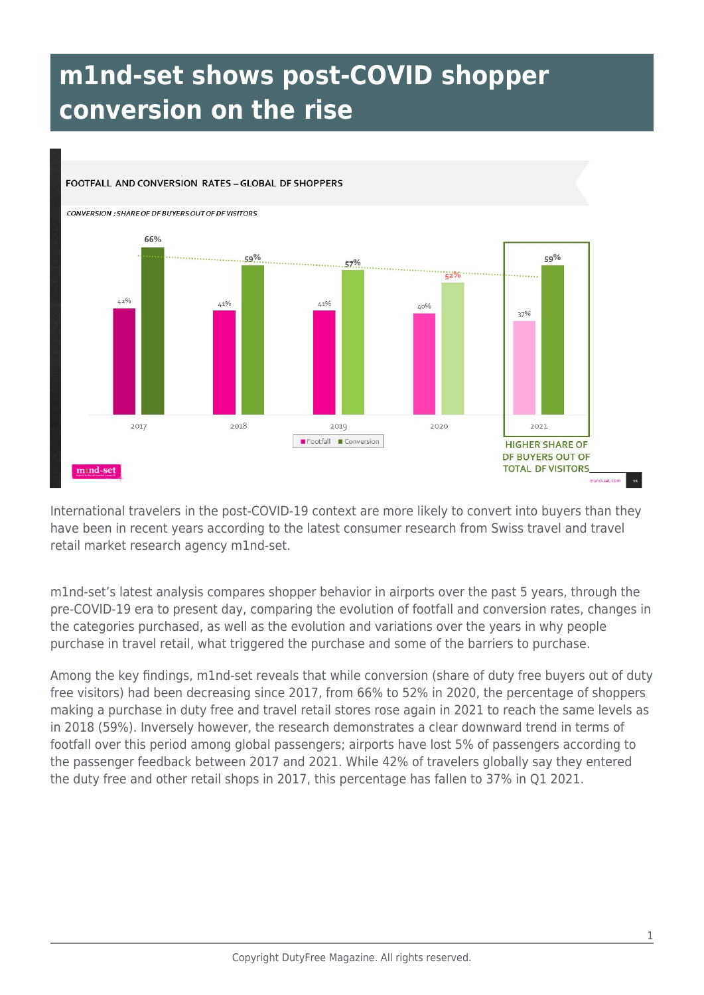## **m1nd-set shows post-COVID shopper conversion on the rise**

## FOOTFALL AND CONVERSION RATES - GLOBAL DF SHOPPERS **CONVERSION : SHARE OF DF BUYERS OUT OF DF VISITORS** 66%  $\cdots$ ......59% 59%  $57%$  $\approx 2\%$  $42%$  $1.1%$  $1.1\%$ 40% 37%  $2018$ 2020 2017 2010 2021 Footfall Conversion **HIGHER SHARE OF** DF BUYERS OUT OF **TOTAL DF VISITORS** mind-set mand-set.com

International travelers in the post-COVID-19 context are more likely to convert into buyers than they have been in recent years according to the latest consumer research from Swiss travel and travel retail market research agency m1nd-set.

m1nd-set's latest analysis compares shopper behavior in airports over the past 5 years, through the pre-COVID-19 era to present day, comparing the evolution of footfall and conversion rates, changes in the categories purchased, as well as the evolution and variations over the years in why people purchase in travel retail, what triggered the purchase and some of the barriers to purchase.

Among the key findings, m1nd-set reveals that while conversion (share of duty free buyers out of duty free visitors) had been decreasing since 2017, from 66% to 52% in 2020, the percentage of shoppers making a purchase in duty free and travel retail stores rose again in 2021 to reach the same levels as in 2018 (59%). Inversely however, the research demonstrates a clear downward trend in terms of footfall over this period among global passengers; airports have lost 5% of passengers according to the passenger feedback between 2017 and 2021. While 42% of travelers globally say they entered the duty free and other retail shops in 2017, this percentage has fallen to 37% in Q1 2021.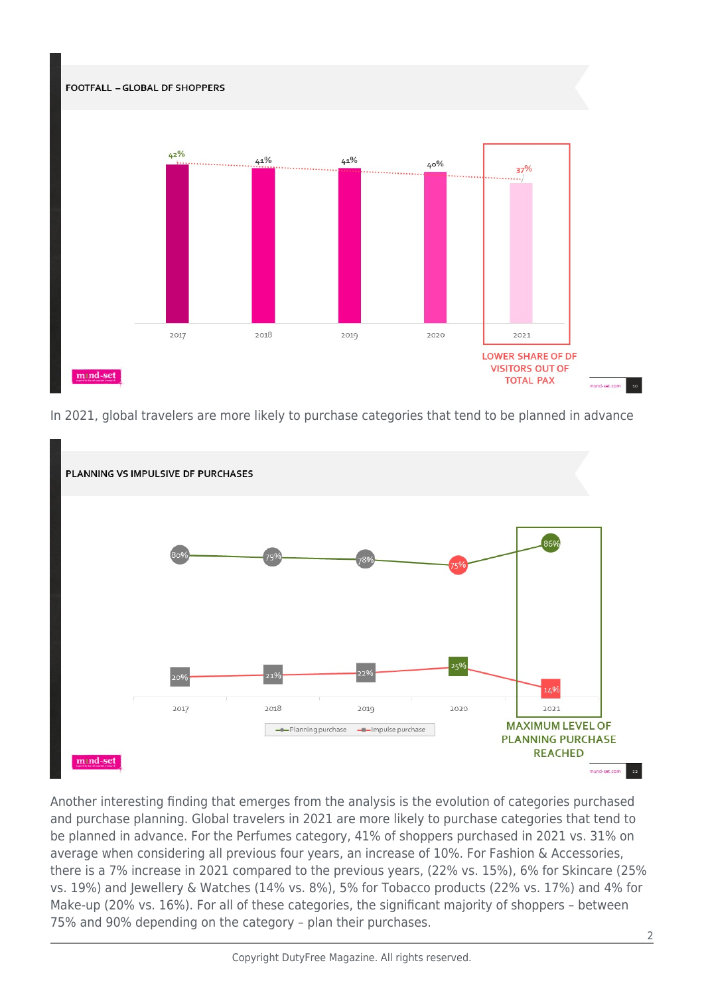

In 2021, global travelers are more likely to purchase categories that tend to be planned in advance



Another interesting finding that emerges from the analysis is the evolution of categories purchased and purchase planning. Global travelers in 2021 are more likely to purchase categories that tend to be planned in advance. For the Perfumes category, 41% of shoppers purchased in 2021 vs. 31% on average when considering all previous four years, an increase of 10%. For Fashion & Accessories, there is a 7% increase in 2021 compared to the previous years, (22% vs. 15%), 6% for Skincare (25% vs. 19%) and Jewellery & Watches (14% vs. 8%), 5% for Tobacco products (22% vs. 17%) and 4% for Make-up (20% vs. 16%). For all of these categories, the significant majority of shoppers – between 75% and 90% depending on the category – plan their purchases.